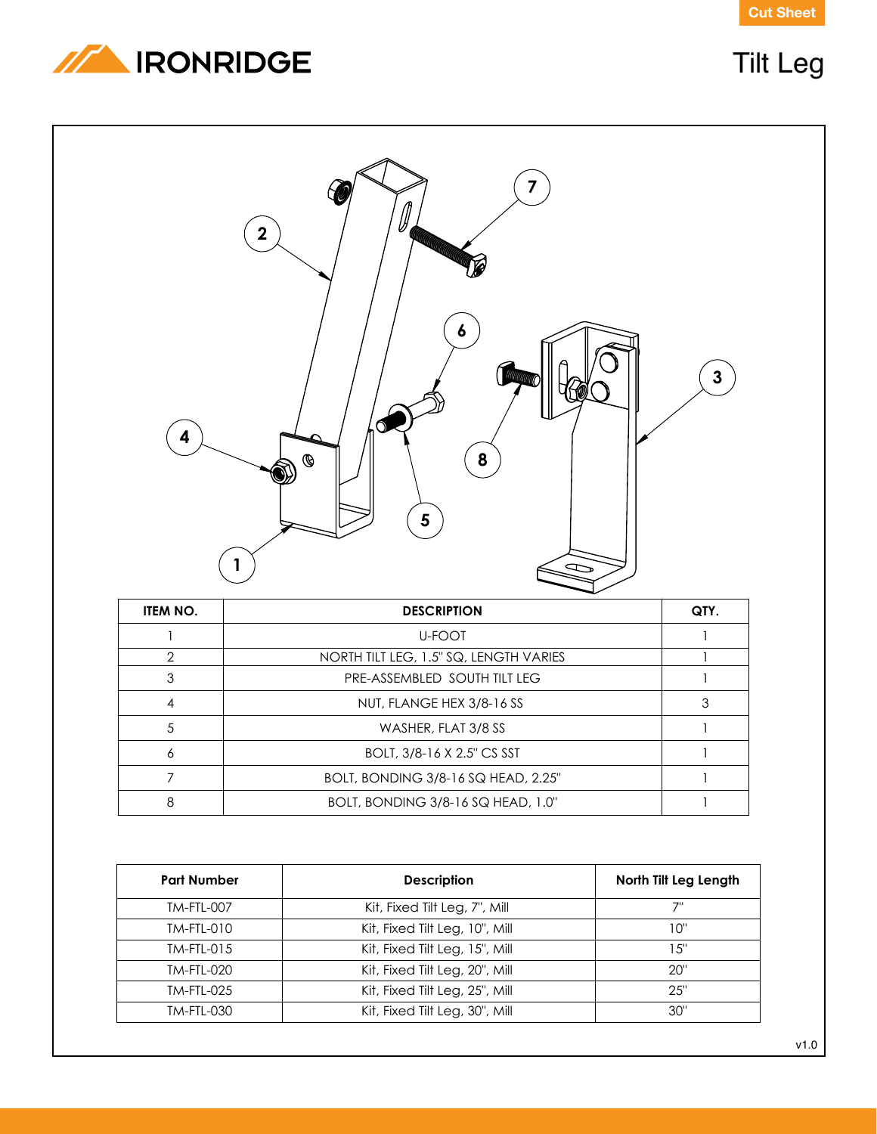**Cut Sheet**



## Tilt Leg



| ITEM NO. | <b>DESCRIPTION</b>                     | QTY. |
|----------|----------------------------------------|------|
|          | <b>U-FOOT</b>                          |      |
| 2        | NORTH TILT LEG, 1.5" SQ, LENGTH VARIES |      |
| 3        | PRE-ASSEMBLED SOUTH TILT LEG           |      |
| 4        | NUT, FLANGE HEX 3/8-16 SS              |      |
| 5        | WASHER, FLAT 3/8 SS                    |      |
| 6        | BOLT, 3/8-16 X 2.5" CS SST             |      |
|          | BOLT, BONDING 3/8-16 SQ HEAD, 2.25"    |      |
| 8        | BOLT, BONDING 3/8-16 SQ HEAD, 1.0"     |      |

| <b>Part Number</b> | <b>Description</b>             | North Tilt Leg Length |
|--------------------|--------------------------------|-----------------------|
| TM-FTL-007         | Kit, Fixed Tilt Leg, 7", Mill  |                       |
| TM-FTL-010         | Kit, Fixed Tilt Leg, 10", Mill | 10"                   |
| $TM-FTL-015$       | Kit, Fixed Tilt Leg, 15", Mill | 15"                   |
| <b>TM-FTL-020</b>  | Kit, Fixed Tilt Leg, 20", Mill | 20"                   |
| <b>TM-FTL-025</b>  | Kit, Fixed Tilt Leg, 25", Mill | 25"                   |
| <b>TM-FTL-030</b>  | Kit, Fixed Tilt Leg, 30", Mill | 30"                   |